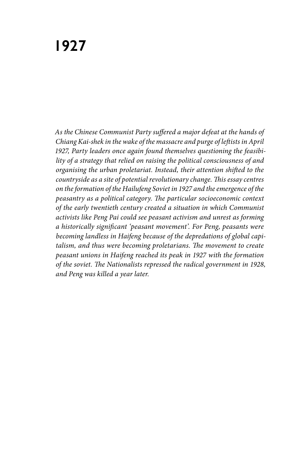*As the Chinese Communist Party suffered a major defeat at the hands of Chiang Kai-shek in the wake of the massacre and purge of leftists in April 1927, Party leaders once again found themselves questioning the feasibility of a strategy that relied on raising the political consciousness of and organising the urban proletariat. Instead, their attention shifted to the countryside as a site of potential revolutionary change. This essay centres on the formation of the Hailufeng Soviet in 1927 and the emergence of the peasantry as a political category. The particular socioeconomic context of the early twentieth century created a situation in which Communist activists like Peng Pai could see peasant activism and unrest as forming a historically significant 'peasant movement'. For Peng, peasants were becoming landless in Haifeng because of the depredations of global capitalism, and thus were becoming proletarians. The movement to create peasant unions in Haifeng reached its peak in 1927 with the formation of the soviet. The Nationalists repressed the radical government in 1928, and Peng was killed a year later.*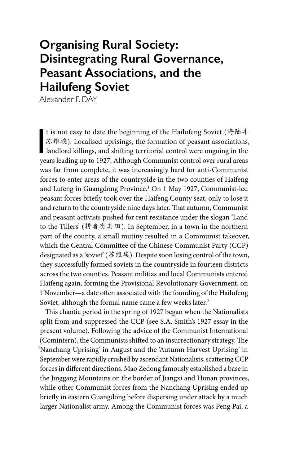## **Organising Rural Society: Disintegrating Rural Governance, Peasant Associations, and the Hailufeng Soviet**

Alexander F. DAY

t is not easy to date the beginning of the Hailufeng Soviet (海陆丰<br>
苏维埃). Localised uprisings, the formation of peasant associations,<br>
landlord killings, and shifting territorial control were ongoing in the<br>
vears leading u t is not easy to date the beginning of the Hailufeng Soviet (海陆丰 苏维埃). Localised uprisings, the formation of peasant associations, years leading up to 1927. Although Communist control over rural areas was far from complete, it was increasingly hard for anti-Communist forces to enter areas of the countryside in the two counties of Haifeng and Lufeng in Guangdong Province.1 On 1 May 1927, Communist-led peasant forces briefly took over the Haifeng County seat, only to lose it and return to the countryside nine days later. That autumn, Communist and peasant activists pushed for rent resistance under the slogan 'Land to the Tillers' (耕者有其田). In September, in a town in the northern part of the county, a small mutiny resulted in a Communist takeover, which the Central Committee of the Chinese Communist Party (CCP) designated as a 'soviet' (苏维埃). Despite soon losing control of the town, they successfully formed soviets in the countryside in fourteen districts across the two counties. Peasant militias and local Communists entered Haifeng again, forming the Provisional Revolutionary Government, on 1 November—a date often associated with the founding of the Hailufeng Soviet, although the formal name came a few weeks later.<sup>2</sup>

This chaotic period in the spring of 1927 began when the Nationalists split from and suppressed the CCP (see S.A. Smith's 1927 essay in the present volume). Following the advice of the Communist International (Comintern), the Communists shifted to an insurrectionary strategy. The 'Nanchang Uprising' in August and the 'Autumn Harvest Uprising' in September were rapidly crushed by ascendant Nationalists, scattering CCP forces in different directions. Mao Zedong famously established a base in the Jinggang Mountains on the border of Jiangxi and Hunan provinces, while other Communist forces from the Nanchang Uprising ended up briefly in eastern Guangdong before dispersing under attack by a much larger Nationalist army. Among the Communist forces was Peng Pai, a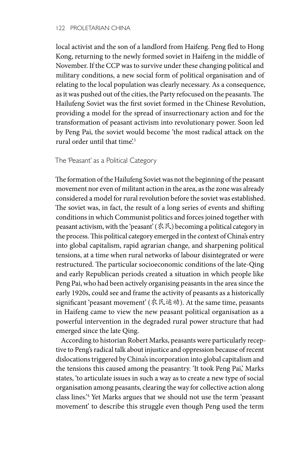local activist and the son of a landlord from Haifeng. Peng fled to Hong Kong, returning to the newly formed soviet in Haifeng in the middle of November. If the CCP was to survive under these changing political and military conditions, a new social form of political organisation and of relating to the local population was clearly necessary. As a consequence, as it was pushed out of the cities, the Party refocused on the peasants. The Hailufeng Soviet was the first soviet formed in the Chinese Revolution, providing a model for the spread of insurrectionary action and for the transformation of peasant activism into revolutionary power. Soon led by Peng Pai, the soviet would become 'the most radical attack on the rural order until that time'.3

The 'Peasant' as a Political Category

The formation of the Hailufeng Soviet was not the beginning of the peasant movement nor even of militant action in the area, as the zone was already considered a model for rural revolution before the soviet was established. The soviet was, in fact, the result of a long series of events and shifting conditions in which Communist politics and forces joined together with peasant activism, with the 'peasant' (农民) becoming a political category in the process. This political category emerged in the context of China's entry into global capitalism, rapid agrarian change, and sharpening political tensions, at a time when rural networks of labour disintegrated or were restructured. The particular socioeconomic conditions of the late-Qing and early Republican periods created a situation in which people like Peng Pai, who had been actively organising peasants in the area since the early 1920s, could see and frame the activity of peasants as a historically significant 'peasant movement' (农民运动). At the same time, peasants in Haifeng came to view the new peasant political organisation as a powerful intervention in the degraded rural power structure that had emerged since the late Qing.

According to historian Robert Marks, peasants were particularly receptive to Peng's radical talk about injustice and oppression because of recent dislocations triggered by China's incorporation into global capitalism and the tensions this caused among the peasantry. 'It took Peng Pai,' Marks states, 'to articulate issues in such a way as to create a new type of social organisation among peasants, clearing the way for collective action along class lines.'4 Yet Marks argues that we should not use the term 'peasant movement' to describe this struggle even though Peng used the term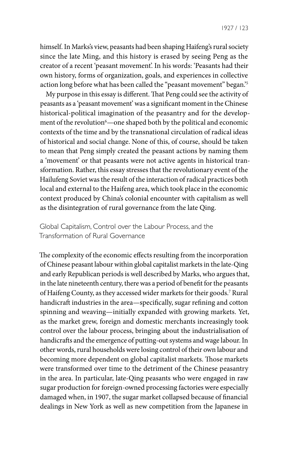1927 / 123

himself. In Marks's view, peasants had been shaping Haifeng's rural society since the late Ming, and this history is erased by seeing Peng as the creator of a recent 'peasant movement'. In his words: 'Peasants had their own history, forms of organization, goals, and experiences in collective action long before what has been called the "peasant movement" began.'5

My purpose in this essay is different. That Peng could see the activity of peasants as a 'peasant movement' was a significant moment in the Chinese historical-political imagination of the peasantry and for the development of the revolution<sup>6</sup>—one shaped both by the political and economic contexts of the time and by the transnational circulation of radical ideas of historical and social change. None of this, of course, should be taken to mean that Peng simply created the peasant actions by naming them a 'movement' or that peasants were not active agents in historical transformation. Rather, this essay stresses that the revolutionary event of the Hailufeng Soviet was the result of the interaction of radical practices both local and external to the Haifeng area, which took place in the economic context produced by China's colonial encounter with capitalism as well as the disintegration of rural governance from the late Qing.

Global Capitalism, Control over the Labour Process, and the Transformation of Rural Governance

The complexity of the economic effects resulting from the incorporation of Chinese peasant labour within global capitalist markets in the late-Qing and early Republican periods is well described by Marks, who argues that, in the late nineteenth century, there was a period of benefit for the peasants of Haifeng County, as they accessed wider markets for their goods.7 Rural handicraft industries in the area—specifically, sugar refining and cotton spinning and weaving—initially expanded with growing markets. Yet, as the market grew, foreign and domestic merchants increasingly took control over the labour process, bringing about the industrialisation of handicrafts and the emergence of putting-out systems and wage labour. In other words, rural households were losing control of their own labour and becoming more dependent on global capitalist markets. Those markets were transformed over time to the detriment of the Chinese peasantry in the area. In particular, late-Qing peasants who were engaged in raw sugar production for foreign-owned processing factories were especially damaged when, in 1907, the sugar market collapsed because of financial dealings in New York as well as new competition from the Japanese in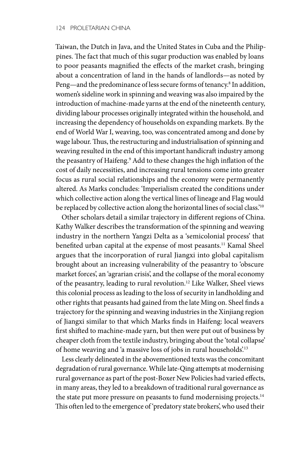Taiwan, the Dutch in Java, and the United States in Cuba and the Philippines. The fact that much of this sugar production was enabled by loans to poor peasants magnified the effects of the market crash, bringing about a concentration of land in the hands of landlords—as noted by Peng—and the predominance of less secure forms of tenancy.<sup>8</sup> In addition, women's sideline work in spinning and weaving was also impaired by the introduction of machine-made yarns at the end of the nineteenth century, dividing labour processes originally integrated within the household, and increasing the dependency of households on expanding markets. By the end of World War I, weaving, too, was concentrated among and done by wage labour. Thus, the restructuring and industrialisation of spinning and weaving resulted in the end of this important handicraft industry among the peasantry of Haifeng.9 Add to these changes the high inflation of the cost of daily necessities, and increasing rural tensions come into greater focus as rural social relationships and the economy were permanently altered. As Marks concludes: 'Imperialism created the conditions under which collective action along the vertical lines of lineage and Flag would be replaced by collective action along the horizontal lines of social class.'<sup>10</sup>

Other scholars detail a similar trajectory in different regions of China. Kathy Walker describes the transformation of the spinning and weaving industry in the northern Yangzi Delta as a 'semicolonial process' that benefited urban capital at the expense of most peasants.<sup>11</sup> Kamal Sheel argues that the incorporation of rural Jiangxi into global capitalism brought about an increasing vulnerability of the peasantry to 'obscure market forces', an 'agrarian crisis', and the collapse of the moral economy of the peasantry, leading to rural revolution.12 Like Walker, Sheel views this colonial process as leading to the loss of security in landholding and other rights that peasants had gained from the late Ming on. Sheel finds a trajectory for the spinning and weaving industries in the Xinjiang region of Jiangxi similar to that which Marks finds in Haifeng: local weavers first shifted to machine-made yarn, but then were put out of business by cheaper cloth from the textile industry, bringing about the 'total collapse' of home weaving and 'a massive loss of jobs in rural households'.13

Less clearly delineated in the abovementioned texts was the concomitant degradation of rural governance. While late-Qing attempts at modernising rural governance as part of the post-Boxer New Policies had varied effects, in many areas, they led to a breakdown of traditional rural governance as the state put more pressure on peasants to fund modernising projects.<sup>14</sup> This often led to the emergence of 'predatory state brokers', who used their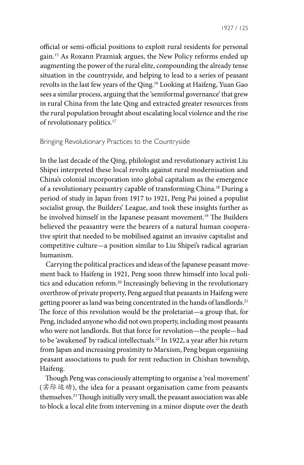official or semi-official positions to exploit rural residents for personal gain.15 As Roxann Prazniak argues, the New Policy reforms ended up augmenting the power of the rural elite, compounding the already tense situation in the countryside, and helping to lead to a series of peasant revolts in the last few years of the Qing.16 Looking at Haifeng, Yuan Gao sees a similar process, arguing that the 'semiformal governance' that grew in rural China from the late Qing and extracted greater resources from the rural population brought about escalating local violence and the rise of revolutionary politics.17

## Bringing Revolutionary Practices to the Countryside

In the last decade of the Qing, philologist and revolutionary activist Liu Shipei interpreted these local revolts against rural modernisation and China's colonial incorporation into global capitalism as the emergence of a revolutionary peasantry capable of transforming China.18 During a period of study in Japan from 1917 to 1921, Peng Pai joined a populist socialist group, the Builders' League, and took these insights further as he involved himself in the Japanese peasant movement.<sup>19</sup> The Builders believed the peasantry were the bearers of a natural human cooperative spirit that needed to be mobilised against an invasive capitalist and competitive culture—a position similar to Liu Shipei's radical agrarian humanism.

Carrying the political practices and ideas of the Japanese peasant movement back to Haifeng in 1921, Peng soon threw himself into local politics and education reform.20 Increasingly believing in the revolutionary overthrow of private property, Peng argued that peasants in Haifeng were getting poorer as land was being concentrated in the hands of landlords.<sup>21</sup> The force of this revolution would be the proletariat—a group that, for Peng, included anyone who did not own property, including most peasants who were not landlords. But that force for revolution—the people—had to be 'awakened' by radical intellectuals.<sup>22</sup> In 1922, a year after his return from Japan and increasing proximity to Marxism, Peng began organising peasant associations to push for rent reduction in Chishan township, Haifeng.

Though Peng was consciously attempting to organise a 'real movement' (实际运动), the idea for a peasant organisation came from peasants themselves.23 Though initially very small, the peasant association was able to block a local elite from intervening in a minor dispute over the death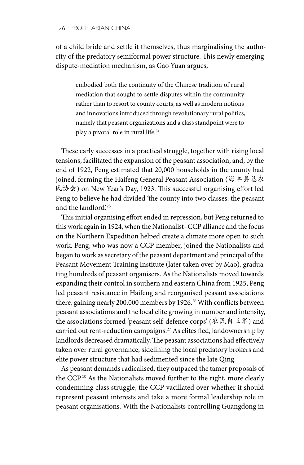of a child bride and settle it themselves, thus marginalising the authority of the predatory semiformal power structure. This newly emerging dispute-mediation mechanism, as Gao Yuan argues,

embodied both the continuity of the Chinese tradition of rural mediation that sought to settle disputes within the community rather than to resort to county courts, as well as modern notions and innovations introduced through revolutionary rural politics, namely that peasant organizations and a class standpoint were to play a pivotal role in rural life.<sup>24</sup>

These early successes in a practical struggle, together with rising local tensions, facilitated the expansion of the peasant association, and, by the end of 1922, Peng estimated that 20,000 households in the county had joined, forming the Haifeng General Peasant Association (海丰县总农 民协会) on New Year's Day, 1923. This successful organising effort led Peng to believe he had divided 'the county into two classes: the peasant and the landlord'.25

This initial organising effort ended in repression, but Peng returned to this work again in 1924, when the Nationalist–CCP alliance and the focus on the Northern Expedition helped create a climate more open to such work. Peng, who was now a CCP member, joined the Nationalists and began to work as secretary of the peasant department and principal of the Peasant Movement Training Institute (later taken over by Mao), graduating hundreds of peasant organisers. As the Nationalists moved towards expanding their control in southern and eastern China from 1925, Peng led peasant resistance in Haifeng and reorganised peasant associations there, gaining nearly 200,000 members by 1926.<sup>26</sup> With conflicts between peasant associations and the local elite growing in number and intensity, the associations formed 'peasant self-defence corps' (农民自卫军) and carried out rent-reduction campaigns.27 As elites fled, landownership by landlords decreased dramatically. The peasant associations had effectively taken over rural governance, sidelining the local predatory brokers and elite power structure that had sedimented since the late Qing.

As peasant demands radicalised, they outpaced the tamer proposals of the CCP.28 As the Nationalists moved further to the right, more clearly condemning class struggle, the CCP vacillated over whether it should represent peasant interests and take a more formal leadership role in peasant organisations. With the Nationalists controlling Guangdong in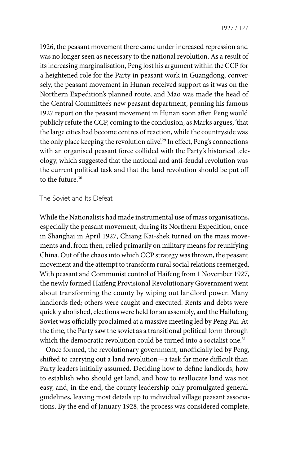1927 / 127

1926, the peasant movement there came under increased repression and was no longer seen as necessary to the national revolution. As a result of its increasing marginalisation, Peng lost his argument within the CCP for a heightened role for the Party in peasant work in Guangdong; conversely, the peasant movement in Hunan received support as it was on the Northern Expedition's planned route, and Mao was made the head of the Central Committee's new peasant department, penning his famous 1927 report on the peasant movement in Hunan soon after. Peng would publicly refute the CCP, coming to the conclusion, as Marks argues, 'that the large cities had become centres of reaction, while the countryside was the only place keeping the revolution alive.<sup>29</sup> In effect, Peng's connections with an organised peasant force collided with the Party's historical teleology, which suggested that the national and anti-feudal revolution was the current political task and that the land revolution should be put off to the future.30

## The Soviet and Its Defeat

While the Nationalists had made instrumental use of mass organisations, especially the peasant movement, during its Northern Expedition, once in Shanghai in April 1927, Chiang Kai-shek turned on the mass movements and, from then, relied primarily on military means for reunifying China. Out of the chaos into which CCP strategy was thrown, the peasant movement and the attempt to transform rural social relations reemerged. With peasant and Communist control of Haifeng from 1 November 1927, the newly formed Haifeng Provisional Revolutionary Government went about transforming the county by wiping out landlord power. Many landlords fled; others were caught and executed. Rents and debts were quickly abolished, elections were held for an assembly, and the Hailufeng Soviet was officially proclaimed at a massive meeting led by Peng Pai. At the time, the Party saw the soviet as a transitional political form through which the democratic revolution could be turned into a socialist one.<sup>31</sup>

Once formed, the revolutionary government, unofficially led by Peng, shifted to carrying out a land revolution—a task far more difficult than Party leaders initially assumed. Deciding how to define landlords, how to establish who should get land, and how to reallocate land was not easy, and, in the end, the county leadership only promulgated general guidelines, leaving most details up to individual village peasant associations. By the end of January 1928, the process was considered complete,